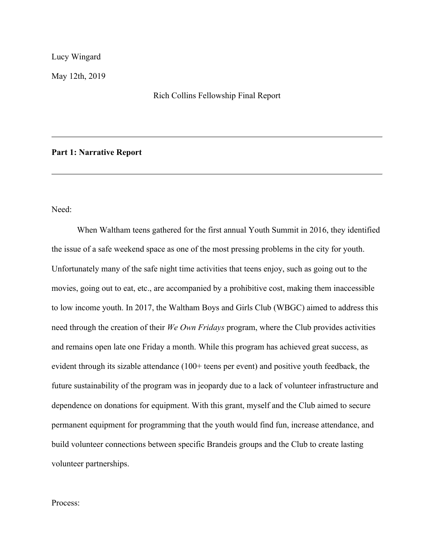Lucy Wingard

May 12th, 2019

#### Rich Collins Fellowship Final Report

#### **Part 1: Narrative Report**

Need:

When Waltham teens gathered for the first annual Youth Summit in 2016, they identified the issue of a safe weekend space as one of the most pressing problems in the city for youth. Unfortunately many of the safe night time activities that teens enjoy, such as going out to the movies, going out to eat, etc., are accompanied by a prohibitive cost, making them inaccessible to low income youth. In 2017, the Waltham Boys and Girls Club (WBGC) aimed to address this need through the creation of their *We Own Fridays* program, where the Club provides activities and remains open late one Friday a month. While this program has achieved great success, as evident through its sizable attendance (100+ teens per event) and positive youth feedback, the future sustainability of the program was in jeopardy due to a lack of volunteer infrastructure and dependence on donations for equipment. With this grant, myself and the Club aimed to secure permanent equipment for programming that the youth would find fun, increase attendance, and build volunteer connections between specific Brandeis groups and the Club to create lasting volunteer partnerships.

Process: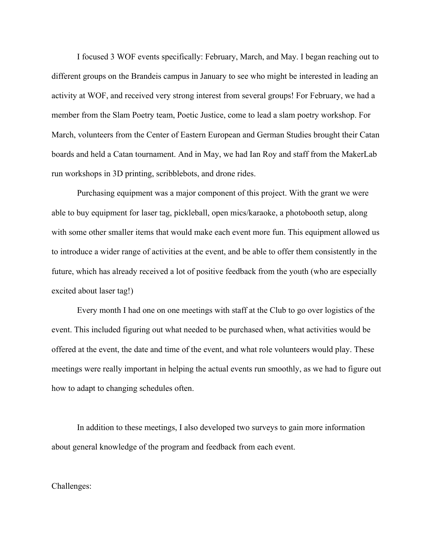I focused 3 WOF events specifically: February, March, and May. I began reaching out to different groups on the Brandeis campus in January to see who might be interested in leading an activity at WOF, and received very strong interest from several groups! For February, we had a member from the Slam Poetry team, Poetic Justice, come to lead a slam poetry workshop. For March, volunteers from the Center of Eastern European and German Studies brought their Catan boards and held a Catan tournament. And in May, we had Ian Roy and staff from the MakerLab run workshops in 3D printing, scribblebots, and drone rides.

Purchasing equipment was a major component of this project. With the grant we were able to buy equipment for laser tag, pickleball, open mics/karaoke, a photobooth setup, along with some other smaller items that would make each event more fun. This equipment allowed us to introduce a wider range of activities at the event, and be able to offer them consistently in the future, which has already received a lot of positive feedback from the youth (who are especially excited about laser tag!)

Every month I had one on one meetings with staff at the Club to go over logistics of the event. This included figuring out what needed to be purchased when, what activities would be offered at the event, the date and time of the event, and what role volunteers would play. These meetings were really important in helping the actual events run smoothly, as we had to figure out how to adapt to changing schedules often.

In addition to these meetings, I also developed two surveys to gain more information about general knowledge of the program and feedback from each event.

Challenges: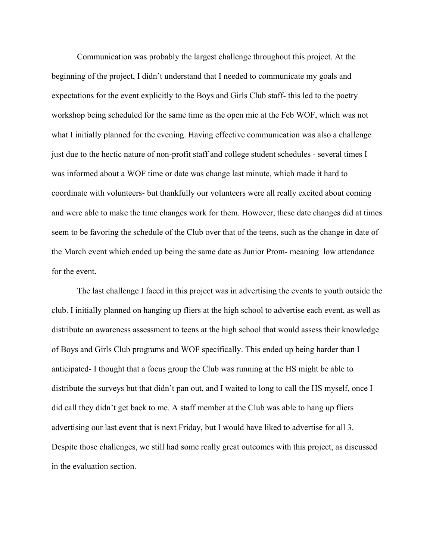Communication was probably the largest challenge throughout this project. At the beginning of the project, I didn't understand that I needed to communicate my goals and expectations for the event explicitly to the Boys and Girls Club staff- this led to the poetry workshop being scheduled for the same time as the open mic at the Feb WOF, which was not what I initially planned for the evening. Having effective communication was also a challenge just due to the hectic nature of non-profit staff and college student schedules - several times I was informed about a WOF time or date was change last minute, which made it hard to coordinate with volunteers- but thankfully our volunteers were all really excited about coming and were able to make the time changes work for them. However, these date changes did at times seem to be favoring the schedule of the Club over that of the teens, such as the change in date of the March event which ended up being the same date as Junior Prom- meaning low attendance for the event.

The last challenge I faced in this project was in advertising the events to youth outside the club. I initially planned on hanging up fliers at the high school to advertise each event, as well as distribute an awareness assessment to teens at the high school that would assess their knowledge of Boys and Girls Club programs and WOF specifically. This ended up being harder than I anticipated- I thought that a focus group the Club was running at the HS might be able to distribute the surveys but that didn't pan out, and I waited to long to call the HS myself, once I did call they didn't get back to me. A staff member at the Club was able to hang up fliers advertising our last event that is next Friday, but I would have liked to advertise for all 3. Despite those challenges, we still had some really great outcomes with this project, as discussed in the evaluation section.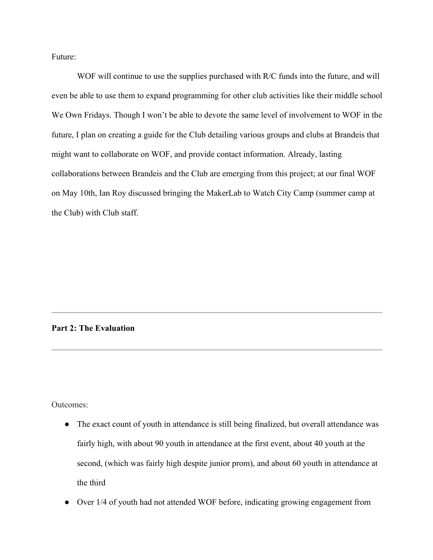Future:

WOF will continue to use the supplies purchased with R/C funds into the future, and will even be able to use them to expand programming for other club activities like their middle school We Own Fridays. Though I won't be able to devote the same level of involvement to WOF in the future, I plan on creating a guide for the Club detailing various groups and clubs at Brandeis that might want to collaborate on WOF, and provide contact information. Already, lasting collaborations between Brandeis and the Club are emerging from this project; at our final WOF on May 10th, Ian Roy discussed bringing the MakerLab to Watch City Camp (summer camp at the Club) with Club staff.

## **Part 2: The Evaluation**

Outcomes:

- The exact count of youth in attendance is still being finalized, but overall attendance was fairly high, with about 90 youth in attendance at the first event, about 40 youth at the second, (which was fairly high despite junior prom), and about 60 youth in attendance at the third
- Over 1/4 of youth had not attended WOF before, indicating growing engagement from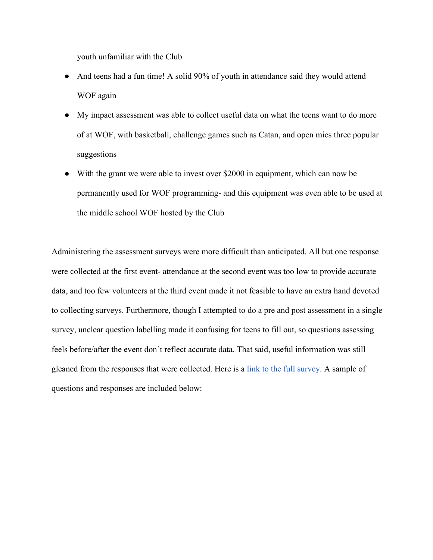youth unfamiliar with the Club

- And teens had a fun time! A solid 90% of youth in attendance said they would attend WOF again
- My impact assessment was able to collect useful data on what the teens want to do more of at WOF, with basketball, challenge games such as Catan, and open mics three popular suggestions
- With the grant we were able to invest over \$2000 in equipment, which can now be permanently used for WOF programming- and this equipment was even able to be used at the middle school WOF hosted by the Club

Administering the assessment surveys were more difficult than anticipated. All but one response were collected at the first event- attendance at the second event was too low to provide accurate data, and too few volunteers at the third event made it not feasible to have an extra hand devoted to collecting surveys. Furthermore, though I attempted to do a pre and post assessment in a single survey, unclear question labelling made it confusing for teens to fill out, so questions assessing feels before/after the event don't reflect accurate data. That said, useful information was still gleaned from the responses that were collected. Here is a link to the full survey. A sample of questions and responses are included below: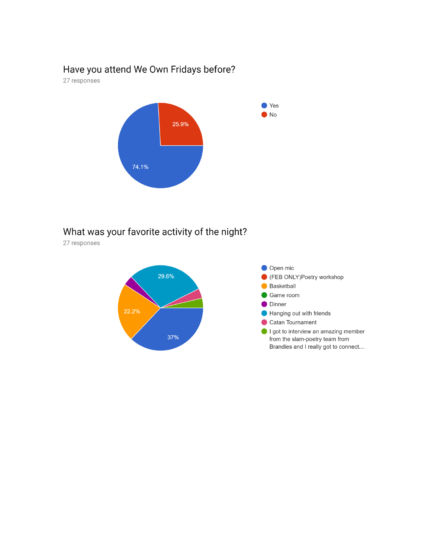## Have you attend We Own Fridays before?

27 responses



# What was your favorite activity of the night?

27 responses

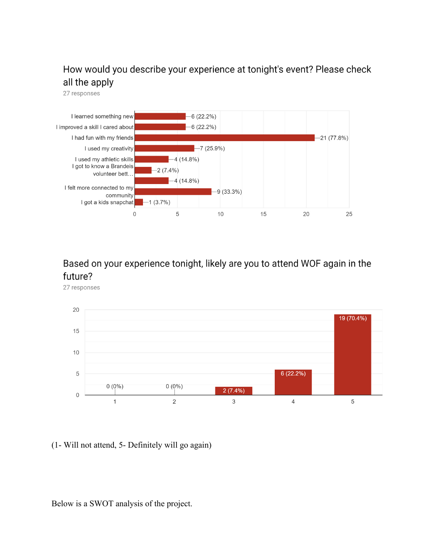## How would you describe your experience at tonight's event? Please check all the apply

27 responses



Based on your experience tonight, likely are you to attend WOF again in the future?

27 responses



(1- Will not attend, 5- Definitely will go again)

Below is a SWOT analysis of the project.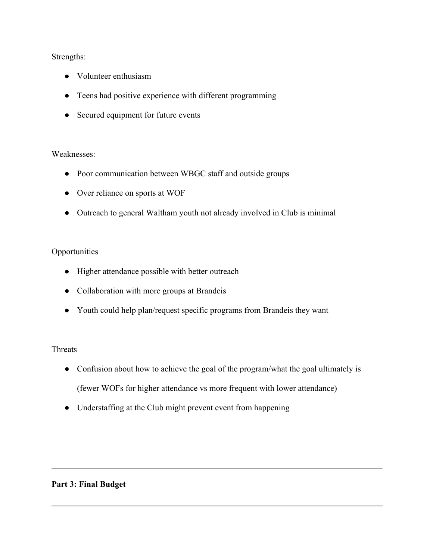## Strengths:

- Volunteer enthusiasm
- Teens had positive experience with different programming
- Secured equipment for future events

## Weaknesses:

- Poor communication between WBGC staff and outside groups
- Over reliance on sports at WOF
- Outreach to general Waltham youth not already involved in Club is minimal

## **Opportunities**

- Higher attendance possible with better outreach
- Collaboration with more groups at Brandeis
- Youth could help plan/request specific programs from Brandeis they want

## Threats

- Confusion about how to achieve the goal of the program/what the goal ultimately is (fewer WOFs for higher attendance vs more frequent with lower attendance)
- Understaffing at the Club might prevent event from happening

## **Part 3: Final Budget**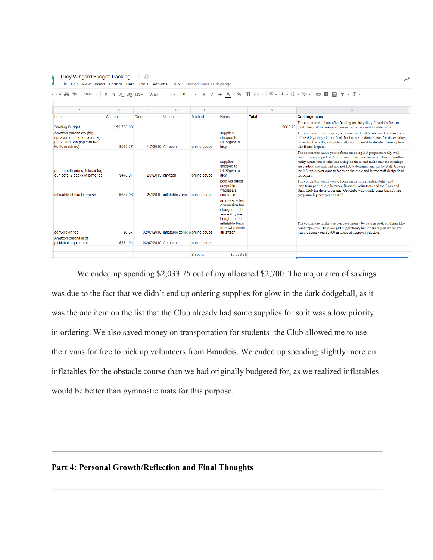| <b>S</b><br>% $.0$ $.00$ 123 $\star$<br>÷.<br>100%<br>음<br>Arial<br>B<br>A<br>$\check{}\;$             |            |                   |                                            |              |                                                                                                                                        |              |  |                                                                                                                                                                                                                                                                                                                                                                                                    |
|--------------------------------------------------------------------------------------------------------|------------|-------------------|--------------------------------------------|--------------|----------------------------------------------------------------------------------------------------------------------------------------|--------------|--|----------------------------------------------------------------------------------------------------------------------------------------------------------------------------------------------------------------------------------------------------------------------------------------------------------------------------------------------------------------------------------------------------|
| $\mathbb{A}$                                                                                           | B          | $\mathbf{C}$      | D                                          | E            | F                                                                                                                                      | G            |  | H                                                                                                                                                                                                                                                                                                                                                                                                  |
| Item                                                                                                   | Amount     | Date              | Vendor                                     | Method       | <b>Notes</b>                                                                                                                           | <b>Total</b> |  | <b>Contingencies</b>                                                                                                                                                                                                                                                                                                                                                                               |
| <b>Starting Budget</b>                                                                                 | \$2,700.00 |                   |                                            |              |                                                                                                                                        |              |  | The committee did not offer funding for the grill, gift cards/raffles, or<br>\$666.25 food. The grill in particular seemed excessive and a safety issue.                                                                                                                                                                                                                                           |
| Amazon purchases (big<br>speaker, one set of laser tag<br>guns, and one popcorn red<br>kettle machine) | \$519.27   | 1/17/2019 Amazon  |                                            | online/coupa | supplies<br>shipped to<br>DCS/give to<br>lucy                                                                                          |              |  | The committee encourages you to contact local businesses for donations<br>of the things they did not fund (businesses to donate food for the evening,<br>prizes for the raffle, and potentially a grill could be donated from a place<br>like Home Depot).                                                                                                                                         |
| photobooth props, 5 laser tag<br>gun sets, 2 packs of batteries                                        | \$478.91   | 2/7/2019 amazon   |                                            | online/coupa | supplies<br>shipped to<br>DCS/give to<br>lucy                                                                                          |              |  | The committee wants you to focus on doing 2-3 programs really well<br>versus trying to pull off 5 programs in just one semester. The committee<br>really wants you to take leadership on these and make sure the evenings<br>are student-and-staff led and not 100% designed and run by staff. Choose<br>the 2-3 topics you want to focus on the most and let the staff design/lead<br>the others. |
| inflatable obstacle course                                                                             | \$657.06   |                   | 2/7/2019 inflatable zone                   | online/coupa | paid via quest<br>paypal to<br>wholesale<br>airattacks                                                                                 |              |  | The committee wants you to focus on ensuring sustainability and<br>long-term partnership between Brandeis volunteers and the Boys and<br>Girls Club for these programs. Get clubs who would come back future<br>programming next year as well.                                                                                                                                                     |
| conversion fee                                                                                         | \$6.57     |                   | 02/07/2019 inflatable zone; v online/coupa |              | an unexpected<br>conversion fee<br>charged us the<br>same day we<br>bought the air<br>inflatable bags<br>from wholesale<br>air attach: |              |  | The committee thinks you can save money by cutting back on things like<br>paint, tape, etc. These are just suggestions, but it's up to you where you<br>want to focus your \$2700 in terms of approved supplies.                                                                                                                                                                                   |
| Amazon purchase of<br>pickleball equipment                                                             | \$371.94   | 03/07/2019 Amazon |                                            | online/coupa |                                                                                                                                        |              |  |                                                                                                                                                                                                                                                                                                                                                                                                    |

We ended up spending \$2,033.75 out of my allocated \$2,700. The major area of savings was due to the fact that we didn't end up ordering supplies for glow in the dark dodgeball, as it was the one item on the list that the Club already had some supplies for so it was a low priority in ordering. We also saved money on transportation for students- the Club allowed me to use their vans for free to pick up volunteers from Brandeis. We ended up spending slightly more on inflatables for the obstacle course than we had originally budgeted for, as we realized inflatables would be better than gymnastic mats for this purpose.

## **Part 4: Personal Growth/Reflection and Final Thoughts**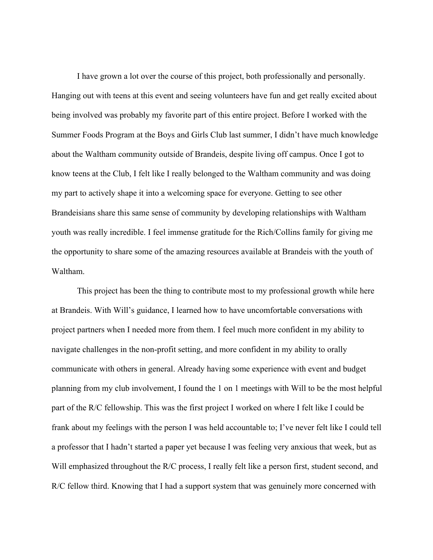I have grown a lot over the course of this project, both professionally and personally. Hanging out with teens at this event and seeing volunteers have fun and get really excited about being involved was probably my favorite part of this entire project. Before I worked with the Summer Foods Program at the Boys and Girls Club last summer, I didn't have much knowledge about the Waltham community outside of Brandeis, despite living off campus. Once I got to know teens at the Club, I felt like I really belonged to the Waltham community and was doing my part to actively shape it into a welcoming space for everyone. Getting to see other Brandeisians share this same sense of community by developing relationships with Waltham youth was really incredible. I feel immense gratitude for the Rich/Collins family for giving me the opportunity to share some of the amazing resources available at Brandeis with the youth of Waltham.

This project has been the thing to contribute most to my professional growth while here at Brandeis. With Will's guidance, I learned how to have uncomfortable conversations with project partners when I needed more from them. I feel much more confident in my ability to navigate challenges in the non-profit setting, and more confident in my ability to orally communicate with others in general. Already having some experience with event and budget planning from my club involvement, I found the 1 on 1 meetings with Will to be the most helpful part of the R/C fellowship. This was the first project I worked on where I felt like I could be frank about my feelings with the person I was held accountable to; I've never felt like I could tell a professor that I hadn't started a paper yet because I was feeling very anxious that week, but as Will emphasized throughout the R/C process, I really felt like a person first, student second, and R/C fellow third. Knowing that I had a support system that was genuinely more concerned with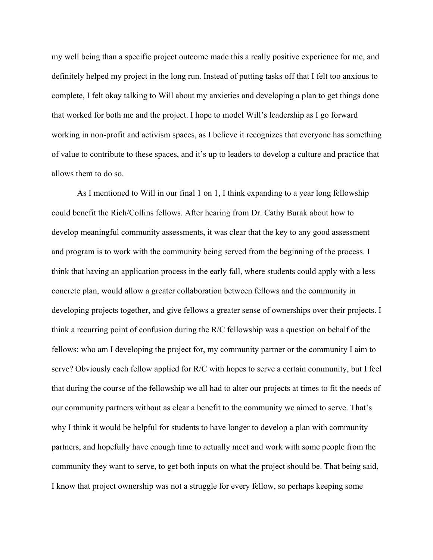my well being than a specific project outcome made this a really positive experience for me, and definitely helped my project in the long run. Instead of putting tasks off that I felt too anxious to complete, I felt okay talking to Will about my anxieties and developing a plan to get things done that worked for both me and the project. I hope to model Will's leadership as I go forward working in non-profit and activism spaces, as I believe it recognizes that everyone has something of value to contribute to these spaces, and it's up to leaders to develop a culture and practice that allows them to do so.

As I mentioned to Will in our final 1 on 1, I think expanding to a year long fellowship could benefit the Rich/Collins fellows. After hearing from Dr. Cathy Burak about how to develop meaningful community assessments, it was clear that the key to any good assessment and program is to work with the community being served from the beginning of the process. I think that having an application process in the early fall, where students could apply with a less concrete plan, would allow a greater collaboration between fellows and the community in developing projects together, and give fellows a greater sense of ownerships over their projects. I think a recurring point of confusion during the R/C fellowship was a question on behalf of the fellows: who am I developing the project for, my community partner or the community I aim to serve? Obviously each fellow applied for R/C with hopes to serve a certain community, but I feel that during the course of the fellowship we all had to alter our projects at times to fit the needs of our community partners without as clear a benefit to the community we aimed to serve. That's why I think it would be helpful for students to have longer to develop a plan with community partners, and hopefully have enough time to actually meet and work with some people from the community they want to serve, to get both inputs on what the project should be. That being said, I know that project ownership was not a struggle for every fellow, so perhaps keeping some